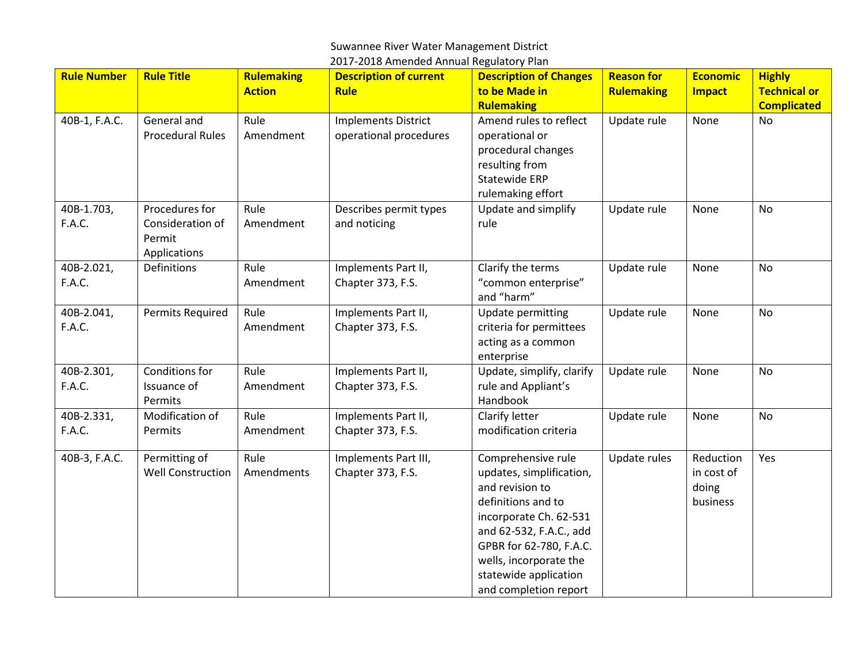## Suwannee River Water Management District

| 2017-2018 Amended Annual Regulatory Plan |
|------------------------------------------|
|------------------------------------------|

| <b>Rule Number</b>   | <b>Rule Title</b>                                            | <b>Rulemaking</b><br><b>Action</b> | <b>Description of current</b><br><b>Rule</b>         | <b>Description of Changes</b><br>to be Made in                                                                                                                                                                                                      | <b>Reason for</b><br><b>Rulemaking</b> | <b>Economic</b><br><b>Impact</b>             | <b>Highly</b><br><b>Technical or</b> |
|----------------------|--------------------------------------------------------------|------------------------------------|------------------------------------------------------|-----------------------------------------------------------------------------------------------------------------------------------------------------------------------------------------------------------------------------------------------------|----------------------------------------|----------------------------------------------|--------------------------------------|
| 40B-1, F.A.C.        | General and<br><b>Procedural Rules</b>                       | Rule<br>Amendment                  | <b>Implements District</b><br>operational procedures | <b>Rulemaking</b><br>Amend rules to reflect<br>operational or<br>procedural changes<br>resulting from<br><b>Statewide ERP</b><br>rulemaking effort                                                                                                  | Update rule                            | None                                         | <b>Complicated</b><br>No             |
| 40B-1.703,<br>F.A.C. | Procedures for<br>Consideration of<br>Permit<br>Applications | Rule<br>Amendment                  | Describes permit types<br>and noticing               | Update and simplify<br>rule                                                                                                                                                                                                                         | Update rule                            | None                                         | No                                   |
| 40B-2.021,<br>F.A.C. | Definitions                                                  | Rule<br>Amendment                  | Implements Part II,<br>Chapter 373, F.S.             | Clarify the terms<br>"common enterprise"<br>and "harm"                                                                                                                                                                                              | Update rule                            | None                                         | <b>No</b>                            |
| 40B-2.041,<br>F.A.C. | Permits Required                                             | Rule<br>Amendment                  | Implements Part II,<br>Chapter 373, F.S.             | <b>Update permitting</b><br>criteria for permittees<br>acting as a common<br>enterprise                                                                                                                                                             | Update rule                            | None                                         | <b>No</b>                            |
| 40B-2.301,<br>F.A.C. | Conditions for<br>Issuance of<br>Permits                     | Rule<br>Amendment                  | Implements Part II,<br>Chapter 373, F.S.             | Update, simplify, clarify<br>rule and Appliant's<br>Handbook                                                                                                                                                                                        | Update rule                            | None                                         | <b>No</b>                            |
| 40B-2.331,<br>F.A.C. | Modification of<br>Permits                                   | Rule<br>Amendment                  | Implements Part II,<br>Chapter 373, F.S.             | Clarify letter<br>modification criteria                                                                                                                                                                                                             | Update rule                            | None                                         | No                                   |
| 40B-3, F.A.C.        | Permitting of<br><b>Well Construction</b>                    | Rule<br>Amendments                 | Implements Part III,<br>Chapter 373, F.S.            | Comprehensive rule<br>updates, simplification,<br>and revision to<br>definitions and to<br>incorporate Ch. 62-531<br>and 62-532, F.A.C., add<br>GPBR for 62-780, F.A.C.<br>wells, incorporate the<br>statewide application<br>and completion report | Update rules                           | Reduction<br>in cost of<br>doing<br>business | Yes                                  |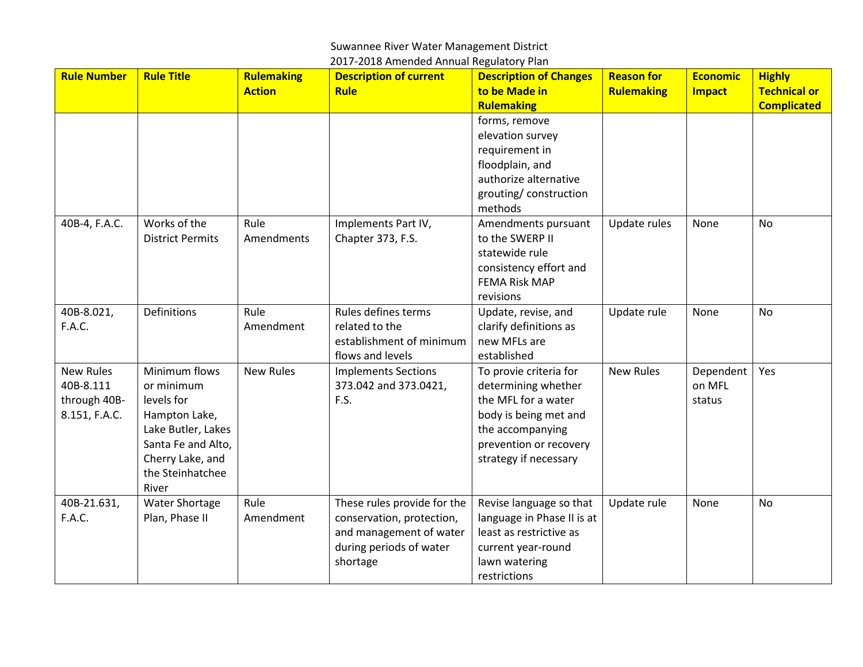## Suwannee River Water Management District

| <b>Rule Number</b> | <b>Rule Title</b>       | <b>Rulemaking</b> | <b>Description of current</b> | <b>Description of Changes</b> | <b>Reason for</b> | <b>Economic</b> | <b>Highly</b>       |
|--------------------|-------------------------|-------------------|-------------------------------|-------------------------------|-------------------|-----------------|---------------------|
|                    |                         | <b>Action</b>     | <b>Rule</b>                   | to be Made in                 | <b>Rulemaking</b> | <b>Impact</b>   | <b>Technical or</b> |
|                    |                         |                   |                               | <b>Rulemaking</b>             |                   |                 | <b>Complicated</b>  |
|                    |                         |                   |                               | forms, remove                 |                   |                 |                     |
|                    |                         |                   |                               | elevation survey              |                   |                 |                     |
|                    |                         |                   |                               | requirement in                |                   |                 |                     |
|                    |                         |                   |                               | floodplain, and               |                   |                 |                     |
|                    |                         |                   |                               | authorize alternative         |                   |                 |                     |
|                    |                         |                   |                               | grouting/construction         |                   |                 |                     |
|                    |                         |                   |                               | methods                       |                   |                 |                     |
| 40B-4, F.A.C.      | Works of the            | Rule              | Implements Part IV,           | Amendments pursuant           | Update rules      | None            | No                  |
|                    | <b>District Permits</b> | Amendments        | Chapter 373, F.S.             | to the SWERP II               |                   |                 |                     |
|                    |                         |                   |                               | statewide rule                |                   |                 |                     |
|                    |                         |                   |                               | consistency effort and        |                   |                 |                     |
|                    |                         |                   |                               | <b>FEMA Risk MAP</b>          |                   |                 |                     |
|                    |                         |                   |                               | revisions                     |                   |                 |                     |
| 40B-8.021,         | <b>Definitions</b>      | Rule              | Rules defines terms           | Update, revise, and           | Update rule       | None            | No                  |
| F.A.C.             |                         | Amendment         | related to the                | clarify definitions as        |                   |                 |                     |
|                    |                         |                   | establishment of minimum      | new MFLs are                  |                   |                 |                     |
|                    |                         |                   | flows and levels              | established                   |                   |                 |                     |
| <b>New Rules</b>   | Minimum flows           | <b>New Rules</b>  | <b>Implements Sections</b>    | To provie criteria for        | <b>New Rules</b>  | Dependent       | Yes                 |
| 40B-8.111          | or minimum              |                   | 373.042 and 373.0421,         | determining whether           |                   | on MFL          |                     |
| through 40B-       | levels for              |                   | F.S.                          | the MFL for a water           |                   | status          |                     |
| 8.151, F.A.C.      | Hampton Lake,           |                   |                               | body is being met and         |                   |                 |                     |
|                    | Lake Butler, Lakes      |                   |                               | the accompanying              |                   |                 |                     |
|                    | Santa Fe and Alto,      |                   |                               | prevention or recovery        |                   |                 |                     |
|                    | Cherry Lake, and        |                   |                               | strategy if necessary         |                   |                 |                     |
|                    | the Steinhatchee        |                   |                               |                               |                   |                 |                     |
|                    | River                   |                   |                               |                               |                   |                 |                     |
| 40B-21.631,        | Water Shortage          | Rule              | These rules provide for the   | Revise language so that       | Update rule       | None            | No                  |
| F.A.C.             | Plan, Phase II          | Amendment         | conservation, protection,     | language in Phase II is at    |                   |                 |                     |
|                    |                         |                   | and management of water       | least as restrictive as       |                   |                 |                     |
|                    |                         |                   | during periods of water       | current year-round            |                   |                 |                     |
|                    |                         |                   | shortage                      | lawn watering                 |                   |                 |                     |
|                    |                         |                   |                               | restrictions                  |                   |                 |                     |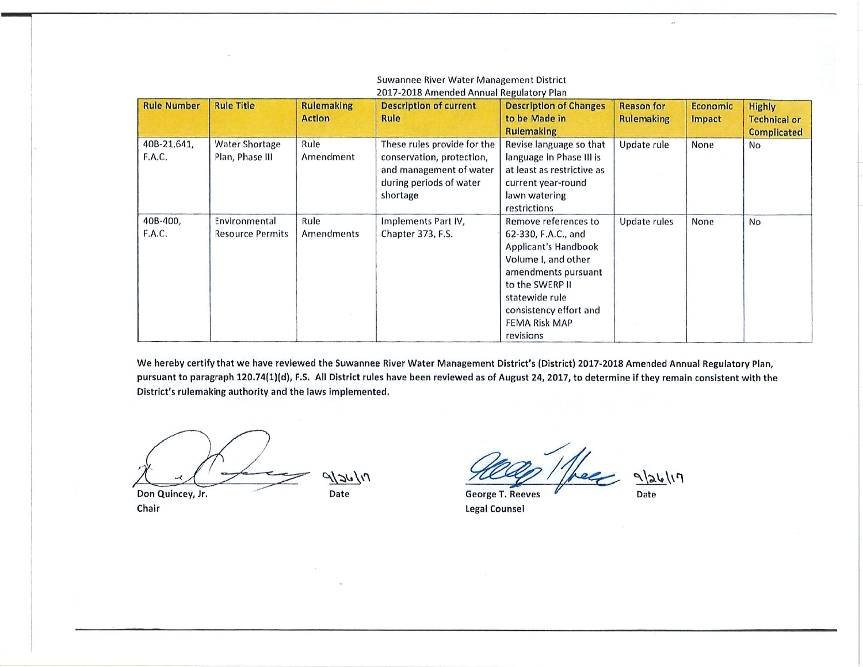## Suwannee River Water Management District 2017-2018 Amended Annual Regulatory Plan

| <b>Rule Number</b>    | <b>Rule Title</b>                        | <b>Rulemaking</b><br><b>Action</b> | <b>Description of current</b><br>Rule                                                                                      | <b>Description of Changes</b><br>to be Made in                                                                                                                                                                        | <b>Reason for</b><br><b>Rulemaking</b> | <b>Economic</b><br><b>Impact</b> | <b>Highly</b><br><b>Technical or</b> |
|-----------------------|------------------------------------------|------------------------------------|----------------------------------------------------------------------------------------------------------------------------|-----------------------------------------------------------------------------------------------------------------------------------------------------------------------------------------------------------------------|----------------------------------------|----------------------------------|--------------------------------------|
| 40B-21.641,<br>F.A.C. | Water Shortage<br>Plan, Phase III        | Rule<br>Amendment                  | These rules provide for the<br>conservation, protection,<br>and management of water<br>during periods of water<br>shortage | <b>Rulemaking</b><br>Revise language so that<br>language in Phase III is<br>at least as restrictive as<br>current year-round<br>lawn watering<br>restrictions                                                         | Update rule                            | None                             | <b>Complicated</b><br><b>No</b>      |
| 40B-400,<br>F.A.C.    | Environmental<br><b>Resource Permits</b> | Rule<br>Amendments                 | Implements Part IV,<br>Chapter 373, F.S.                                                                                   | Remove references to<br>62-330, F.A.C., and<br>Applicant's Handbook<br>Volume I, and other<br>amendments pursuant<br>to the SWERP II<br>statewide rule<br>consistency effort and<br><b>FEMA Risk MAP</b><br>revisions | Update rules                           | <b>None</b>                      | <b>No</b>                            |

We hereby certify that we have reviewed the Suwannee River Water Management District's (District) 2017-2018 Amended Annual Regulatory Plan, pursuant to paragraph 120.74(1)(d), F.S. All District rules have been reviewed as of August 24, 2017, to determine if they remain consistent with the District's rulemaking authority and the laws implemented.

 $9126/17$ 

Don Quincey, Jr. Chair

Date

 $9|26|17$ **George T. Reeves** 

**Legal Counsel** 

Date

 $\overline{u}$